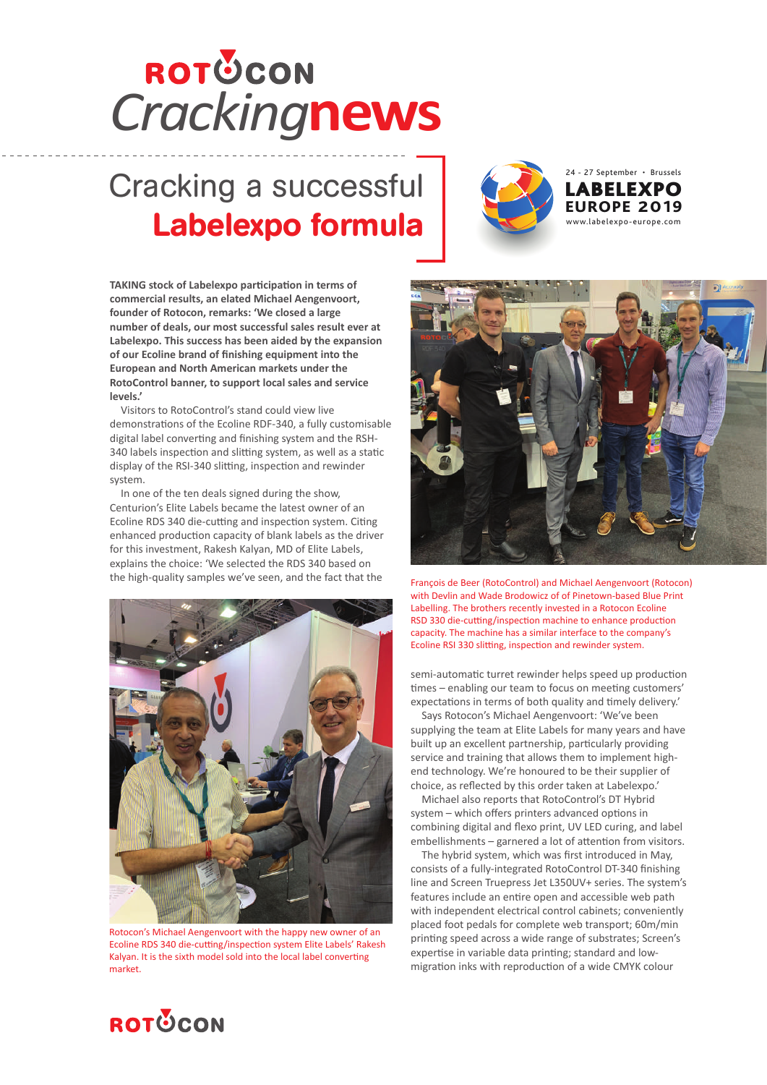## *Cracking***news**

## Cracking a successful Labelexpo formula



**TAKING stock of Labelexpo participation in terms of commercial results, an elated Michael Aengenvoort, founder of Rotocon, remarks: 'We closed a large number of deals, our most successful sales result ever at Labelexpo. This success has been aided by the expansion of our Ecoline brand of finishing equipment into the European and North American markets under the RotoControl banner, to support local sales and service levels.'** 

Visitors to RotoControl's stand could view live demonstrations of the Ecoline RDF-340, a fully customisable digital label converting and finishing system and the RSH-340 labels inspection and slitting system, as well as a static display of the RSI-340 slitting, inspection and rewinder system.

In one of the ten deals signed during the show, Centurion's Elite Labels became the latest owner of an Ecoline RDS 340 die-cutting and inspection system. Citing enhanced production capacity of blank labels as the driver for this investment, Rakesh Kalyan, MD of Elite Labels, explains the choice: 'We selected the RDS 340 based on the high-quality samples we've seen, and the fact that the



Rotocon's Michael Aengenvoort with the happy new owner of an Ecoline RDS 340 die-cutting/inspection system Elite Labels' Rakesh Kalyan. It is the sixth model sold into the local label converting market.



François de Beer (RotoControl) and Michael Aengenvoort (Rotocon) with Devlin and Wade Brodowicz of of Pinetown-based Blue Print Labelling. The brothers recently invested in a Rotocon Ecoline RSD 330 die-cutting/inspection machine to enhance production capacity. The machine has a similar interface to the company's Ecoline RSI 330 slitting, inspection and rewinder system.

semi-automatic turret rewinder helps speed up production times – enabling our team to focus on meeting customers' expectations in terms of both quality and timely delivery.'

Says Rotocon's Michael Aengenvoort: 'We've been supplying the team at Elite Labels for many years and have built up an excellent partnership, particularly providing service and training that allows them to implement highend technology. We're honoured to be their supplier of choice, as reflected by this order taken at Labelexpo.'

Michael also reports that RotoControl's DT Hybrid system – which offers printers advanced options in combining digital and flexo print, UV LED curing, and label embellishments – garnered a lot of attention from visitors.

The hybrid system, which was first introduced in May, consists of a fully-integrated RotoControl DT-340 finishing line and Screen Truepress Jet L350UV+ series. The system's features include an entire open and accessible web path with independent electrical control cabinets; conveniently placed foot pedals for complete web transport; 60m/min printing speed across a wide range of substrates; Screen's expertise in variable data printing; standard and lowmigration inks with reproduction of a wide CMYK colour